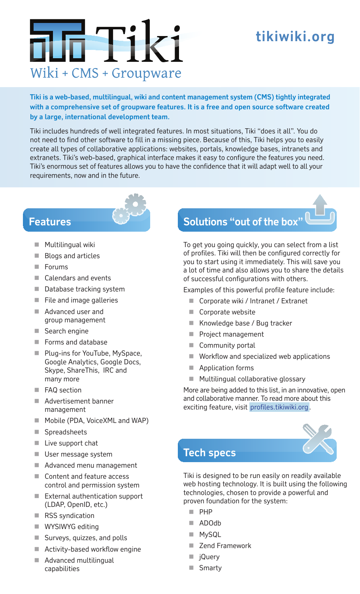### **tikiwiki.org**

# m Tik Wiki + CMS + Groupware

**Tiki is a web-based, multilingual, wiki and content management system (CMS) tightly integrated with a comprehensive set of groupware features. It is a free and open source software created by a large, international development team.**

Tiki includes hundreds of well integrated features. In most situations, Tiki "does it all". You do not need to find other software to fill in a missing piece. Because of this, Tiki helps you to easily create all types of collaborative applications: websites, portals, knowledge bases, intranets and extranets. Tiki's web-based, graphical interface makes it easy to configure the features you need. Tiki's enormous set of features allows you to have the confidence that it will adapt well to all your requirements, now and in the future.

#### **Features**

- **Multilingual wiki**
- **Blogs and articles**
- Forums
- Calendars and events
- Database tracking system
- $\blacksquare$  File and image galleries
- Advanced user and group management
- Search engine
- Forms and database
- **Plug-ins for YouTube, MySpace,** Google Analytics, Google Docs, Skype, ShareThis, IRC and many more
- **FAQ** section
- Advertisement banner management
- **Mobile (PDA, VoiceXML and WAP)**
- Spreadsheets
- **Live support chat**
- **User message system**
- Advanced menu management
- Content and feature access control and permission system
- External authentication support (LDAP, OpenID, etc.)
- RSS syndication
- **WYSIWYG editing**
- Surveys, quizzes, and polls
- Activity-based workflow engine
- Advanced multilingual capabilities

## **Solutions "out of the box"**

To get you going quickly, you can select from a list of profiles. Tiki will then be configured correctly for you to start using it immediately. This will save you a lot of time and also allows you to share the details of successful configurations with others.

Examples of this powerful profile feature include:

- Corporate wiki / Intranet / Extranet
- Corporate website
- Knowledge base / Bug tracker
- Project management
- Community portal
- **Workflow and specialized web applications**
- **Application forms**
- **Multilingual collaborative glossary**

More are being added to this list, in an innovative, open and collaborative manner. To read more about this exciting feature, visit profiles.tikiwiki.org.



Tiki is designed to be run easily on readily available web hosting technology. It is built using the following technologies, chosen to provide a powerful and proven foundation for the system:

- **PHP**
- ADOdb
- **MySQL**
- Zend Framework
- jQuery
- Smarty